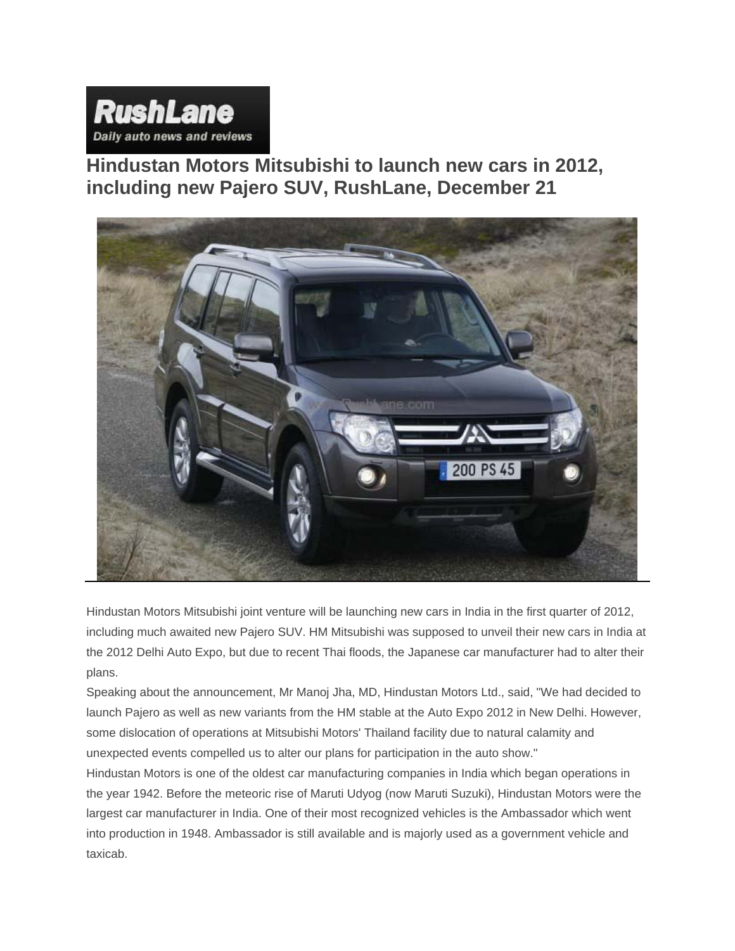

**Hindustan Motors Mitsubishi to launch new cars in 2012, including new Pajero SUV, RushLane, December 21**



Hindustan Motors Mitsubishi joint venture will be launching new cars in India in the first quarter of 2012, including much awaited new Pajero SUV. HM Mitsubishi was supposed to unveil their new cars in India at the 2012 Delhi Auto Expo, but due to recent Thai floods, the Japanese car manufacturer had to alter their plans.

Speaking about the announcement, Mr Manoj Jha, MD, Hindustan Motors Ltd., said, "We had decided to launch Pajero as well as new variants from the HM stable at the Auto Expo 2012 in New Delhi. However, some dislocation of operations at Mitsubishi Motors' Thailand facility due to natural calamity and unexpected events compelled us to alter our plans for participation in the auto show."

Hindustan Motors is one of the oldest car manufacturing companies in India which began operations in the year 1942. Before the meteoric rise of Maruti Udyog (now Maruti Suzuki), Hindustan Motors were the largest car manufacturer in India. One of their most recognized vehicles is the Ambassador which went into production in 1948. Ambassador is still available and is majorly used as a government vehicle and taxicab.